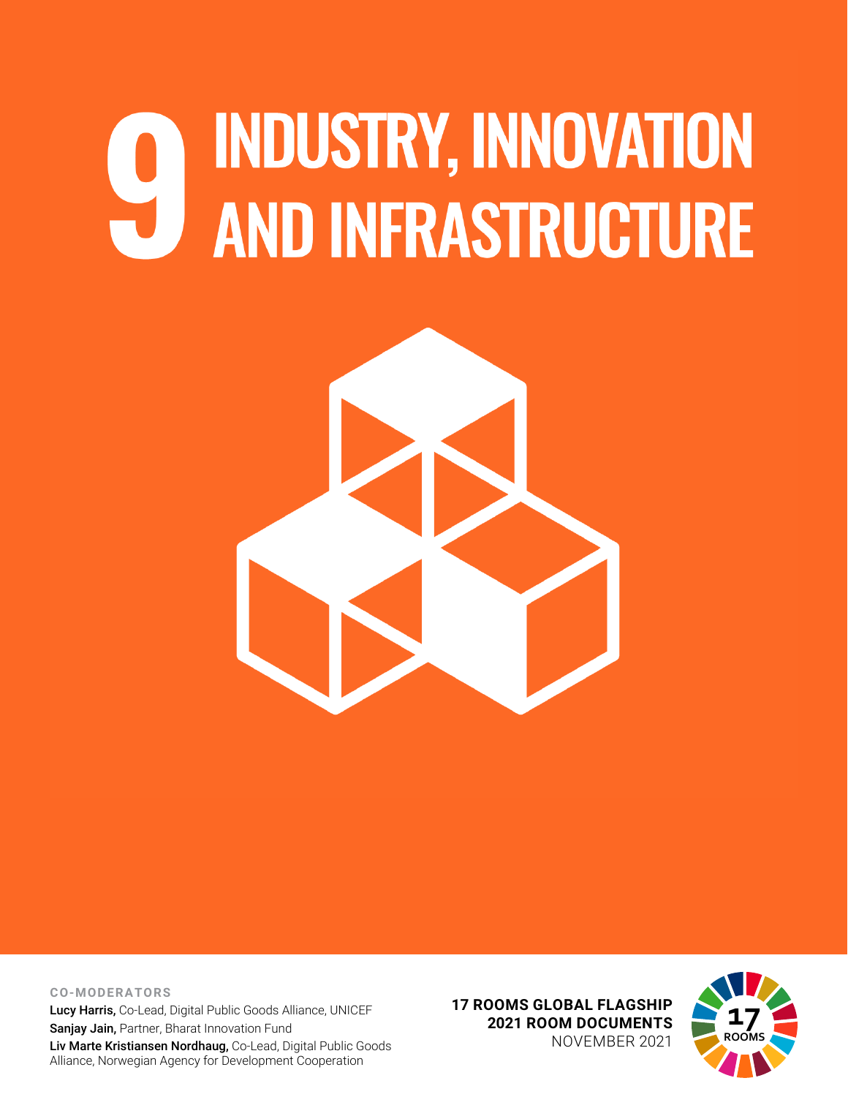## **INDUSTRY, INNOVATION AND INFRASTRUCTURE**



**CO-MODERATORS** Lucy Harris, Co-Lead, Digital Public Goods Alliance, UNICEF Sanjay Jain, Partner, Bharat Innovation Fund Liv Marte Kristiansen Nordhaug, Co-Lead, Digital Public Goods Alliance, Norwegian Agency for Development Cooperation

**17 ROOMS GLOBAL FLAGSHIP 2021 ROOM DOCUMENTS** NOVEMBER 2021

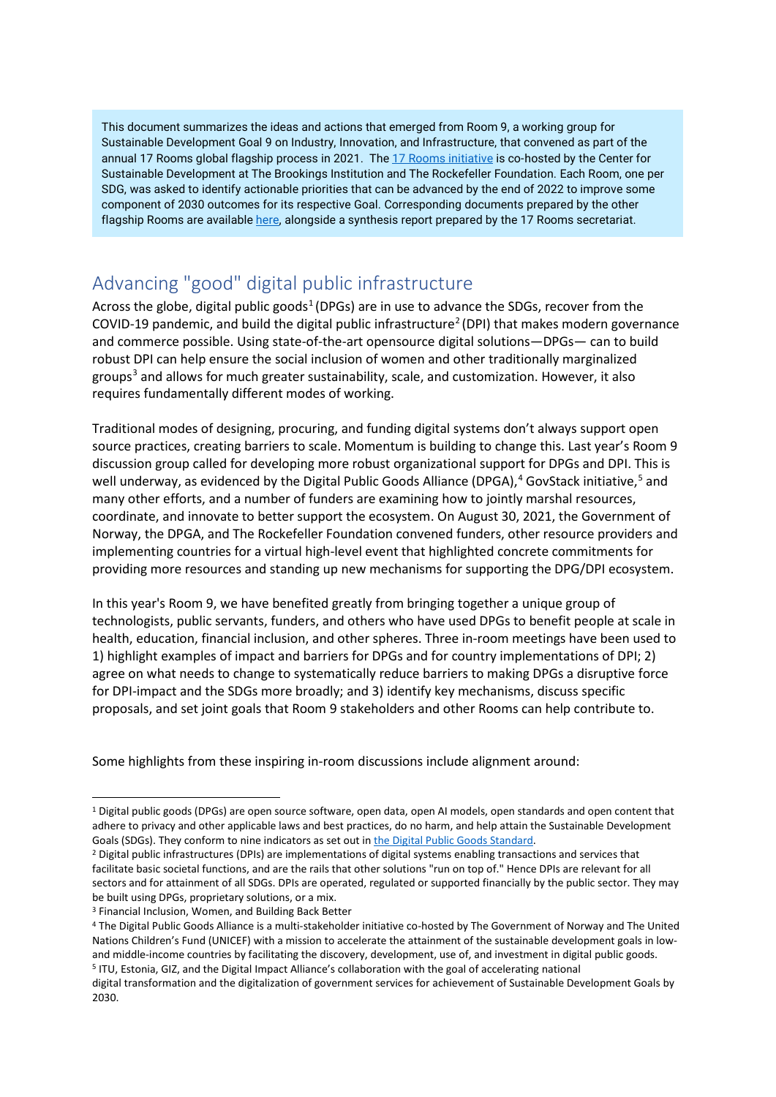This document summarizes the ideas and actions that emerged from Room 9, a working group for Sustainable Development Goal 9 on Industry, Innovation, and Infrastructure, that convened as part of the annual 17 Rooms global flagship process in 2021. The [17 Rooms initiative](https://www.brookings.edu/project/17-rooms/) is co-hosted by the Center for Sustainable Development at The Brookings Institution and The Rockefeller Foundation. Each Room, one per SDG, was asked to identify actionable priorities that can be advanced by the end of 2022 to improve some component of 2030 outcomes for its respective Goal. Corresponding documents prepared by the other flagship Rooms are availabl[e here,](http://www.brookings.edu/17rooms2021) alongside a synthesis report prepared by the 17 Rooms secretariat.

## Advancing "good" digital public infrastructure

Across the globe, digital public goods<sup>[1](#page-1-0)</sup> (DPGs) are in use to advance the SDGs, recover from the COVID-19 pandemic, and build the digital public infrastructure<sup>2</sup> (DPI) that makes modern governance and commerce possible. Using state-of-the-art opensource digital solutions—DPGs— can to build robust DPI can help ensure the social inclusion of women and other traditionally marginalized groups<sup>[3](#page-1-2)</sup> and allows for much greater sustainability, scale, and customization. However, it also requires fundamentally different modes of working.

Traditional modes of designing, procuring, and funding digital systems don't always support open source practices, creating barriers to scale. Momentum is building to change this. Last year's Room 9 discussion group called for developing more robust organizational support for DPGs and DPI. This is well underway, as evidenced by the Digital Public Goods Alliance (DPGA),<sup>[4](#page-1-3)</sup> GovStack initiative,<sup>[5](#page-1-4)</sup> and many other efforts, and a number of funders are examining how to jointly marshal resources, coordinate, and innovate to better support the ecosystem. On August 30, 2021, the Government of Norway, the DPGA, and The Rockefeller Foundation convened funders, other resource providers and implementing countries for a virtual high-level event that highlighted concrete commitments for providing more resources and standing up new mechanisms for supporting the DPG/DPI ecosystem.

In this year's Room 9, we have benefited greatly from bringing together a unique group of technologists, public servants, funders, and others who have used DPGs to benefit people at scale in health, education, financial inclusion, and other spheres. Three in-room meetings have been used to 1) highlight examples of impact and barriers for DPGs and for country implementations of DPI; 2) agree on what needs to change to systematically reduce barriers to making DPGs a disruptive force for DPI-impact and the SDGs more broadly; and 3) identify key mechanisms, discuss specific proposals, and set joint goals that Room 9 stakeholders and other Rooms can help contribute to.

Some highlights from these inspiring in-room discussions include alignment around:

<span id="page-1-0"></span><sup>1</sup> Digital public goods (DPGs) are open source software, open data, open AI models, open standards and open content that adhere to privacy and other applicable laws and best practices, do no harm, and help attain the Sustainable Development Goals (SDGs). They conform to nine indicators as set out in [the Digital Public Goods Standard.](https://digitalpublicgoods.net/standard/)

<span id="page-1-1"></span><sup>&</sup>lt;sup>2</sup> Digital public infrastructures (DPIs) are implementations of digital systems enabling transactions and services that facilitate basic societal functions, and are the rails that other solutions "run on top of." Hence DPIs are relevant for all sectors and for attainment of all SDGs. DPIs are operated, regulated or supported financially by the public sector. They may be built using DPGs, proprietary solutions, or a mix.

<span id="page-1-2"></span><sup>3</sup> Financial Inclusion, Women, and Building Back Better

<span id="page-1-3"></span><sup>4</sup> The Digital Public Goods Alliance is a multi-stakeholder initiative co-hosted by The Government of Norway and The United Nations Children's Fund (UNICEF) with a mission to accelerate the attainment of the sustainable development goals in lowand middle-income countries by facilitating the discovery, development, use of, and investment in digital public goods. <sup>5</sup> ITU, Estonia, GIZ, and the Digital Impact Alliance's collaboration with the goal of accelerating national

<span id="page-1-4"></span>digital transformation and the digitalization of government services for achievement of Sustainable Development Goals by 2030.